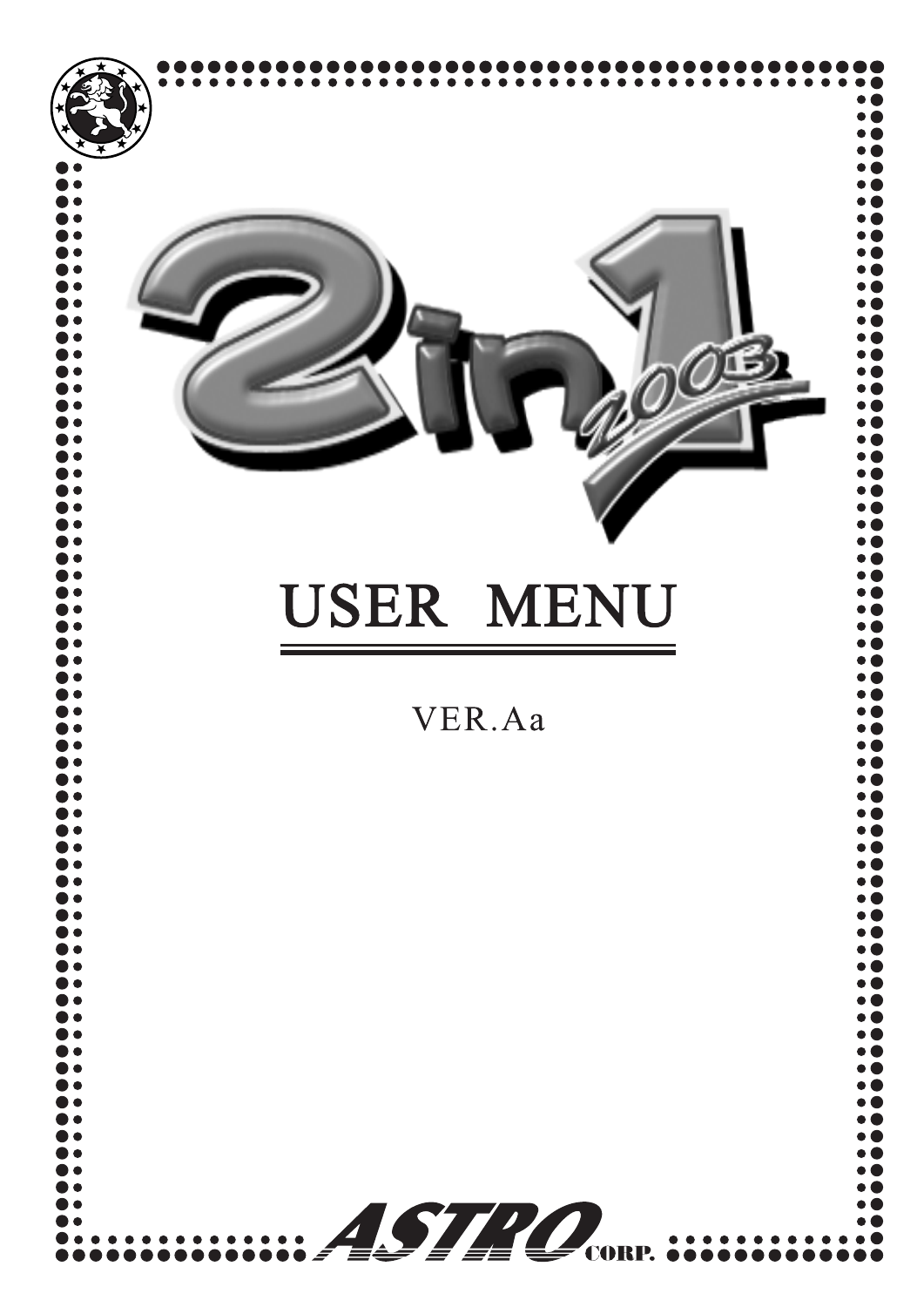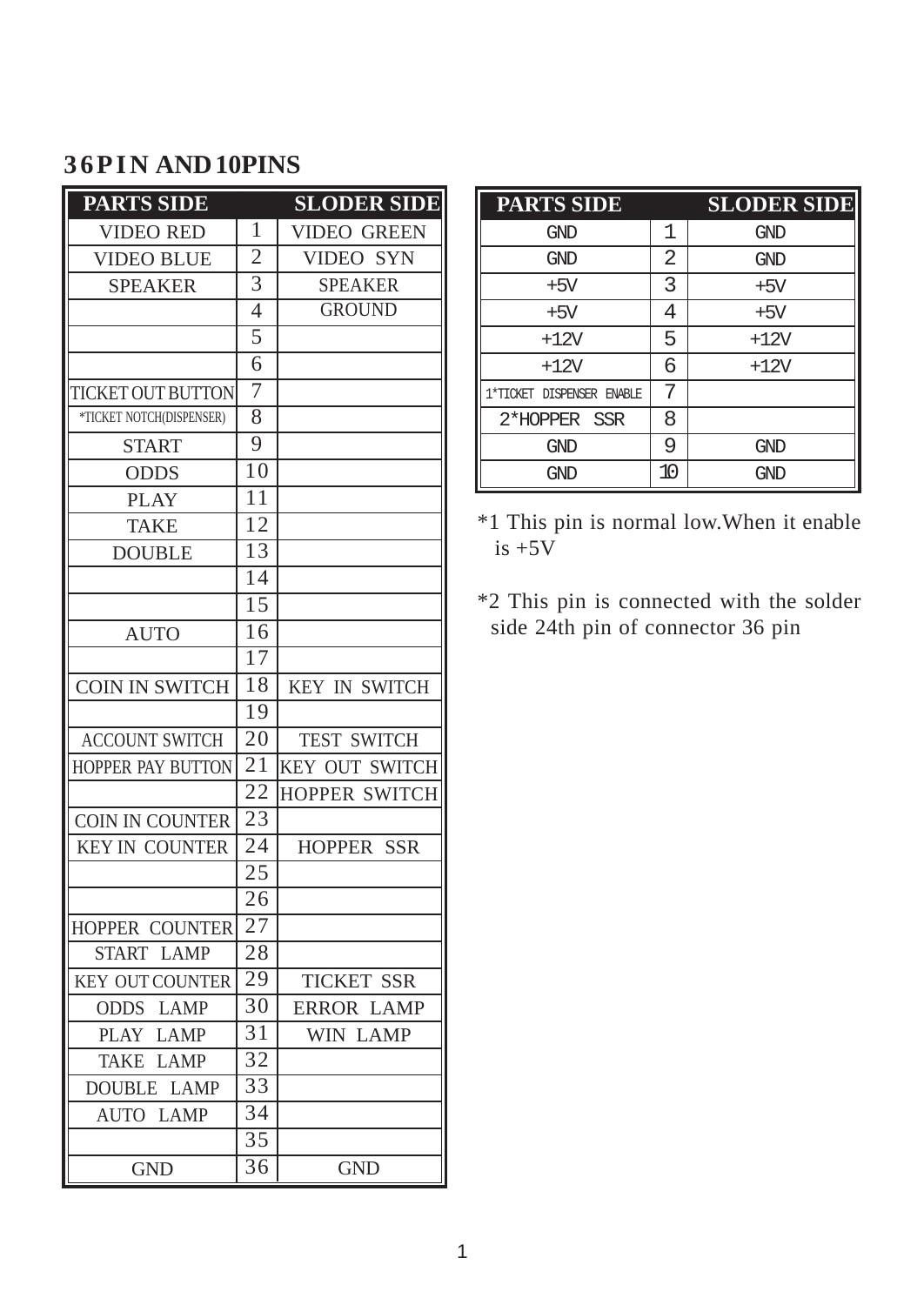## **36PIN AND 10PINS**

| <b>PARTS SIDE</b>            |                 | <b>SLODER SIDE</b>   |
|------------------------------|-----------------|----------------------|
| <b>VIDEO RED</b>             | 1               | <b>VIDEO GREEN</b>   |
| <b>VIDEO BLUE</b>            | $\overline{2}$  | VIDEO SYN            |
| <b>SPEAKER</b>               | $\overline{3}$  | <b>SPEAKER</b>       |
|                              | $\overline{4}$  | <b>GROUND</b>        |
|                              | $\overline{5}$  |                      |
|                              | $\overline{6}$  |                      |
| TICKET OUT BUTTON            | 7               |                      |
| *TICKET NOTCH(DISPENSER)     | $\overline{8}$  |                      |
| <b>START</b>                 | $\overline{9}$  |                      |
| <b>ODDS</b>                  | 10              |                      |
| <b>PLAY</b>                  | 11              |                      |
| <b>TAKE</b>                  | 12              |                      |
| <b>DOUBLE</b>                | $\overline{13}$ |                      |
|                              | $\overline{14}$ |                      |
|                              | $\overline{15}$ |                      |
| <b>AUTO</b>                  | 16              |                      |
|                              | $\overline{17}$ |                      |
| <b>COIN IN SWITCH</b>        | 18              | <b>KEY IN SWITCH</b> |
|                              | 19              |                      |
| <b>ACCOUNT SWITCH</b>        | 20              | <b>TEST SWITCH</b>   |
| HOPPER PAY BUTTON            | $\overline{21}$ | KEY OUT SWITCH       |
|                              | 22              | <b>HOPPER SWITCH</b> |
| COIN IN COUNTER              | 23              |                      |
| <b>KEY IN COUNTER</b>        | 24              | <b>HOPPER SSR</b>    |
|                              | $\overline{25}$ |                      |
|                              | 26              |                      |
| HOPPER COUNTER               | $\overline{27}$ |                      |
| <b>LAMP</b><br>START         | 28              |                      |
| KEY OUT COUNTER              | $\overline{29}$ | <b>TICKET SSR</b>    |
| <b>ODDS LAMP</b>             | 30              | <b>ERROR LAMP</b>    |
| <b>LAMP</b><br><b>PLAY</b>   | 31              | WIN LAMP             |
| <b>LAMP</b><br><b>TAKE</b>   | $\overline{32}$ |                      |
| <b>DOUBLE</b><br><b>LAMP</b> | $\overline{33}$ |                      |
| <b>AUTO</b><br><b>LAMP</b>   | $\overline{34}$ |                      |
|                              | $\overline{35}$ |                      |
| <b>GND</b>                   | $\overline{36}$ | <b>GND</b>           |

| <b>PARTS SIDE</b>         |    | <b>SLODER SIDE</b> |
|---------------------------|----|--------------------|
| GND                       | 1  | GND                |
| GND                       | 2  | GND                |
| $+5V$                     | 3  | $+5V$              |
| $+5V$                     | 4  | $+5V$              |
| $+12V$                    | 5  | $+12V$             |
| $+12V$                    | 6  | $+12V$             |
| 1*TICKET DISPENSER ENABLE | 7  |                    |
| 2*HOPPER SSR              | 8  |                    |
| GND                       | 9  | GND                |
| GND                       | 10 | GND                |

\*1 This pin is normal low.When it enable  $is +5V$ 

\*2 This pin is connected with the solder side 24th pin of connector 36 pin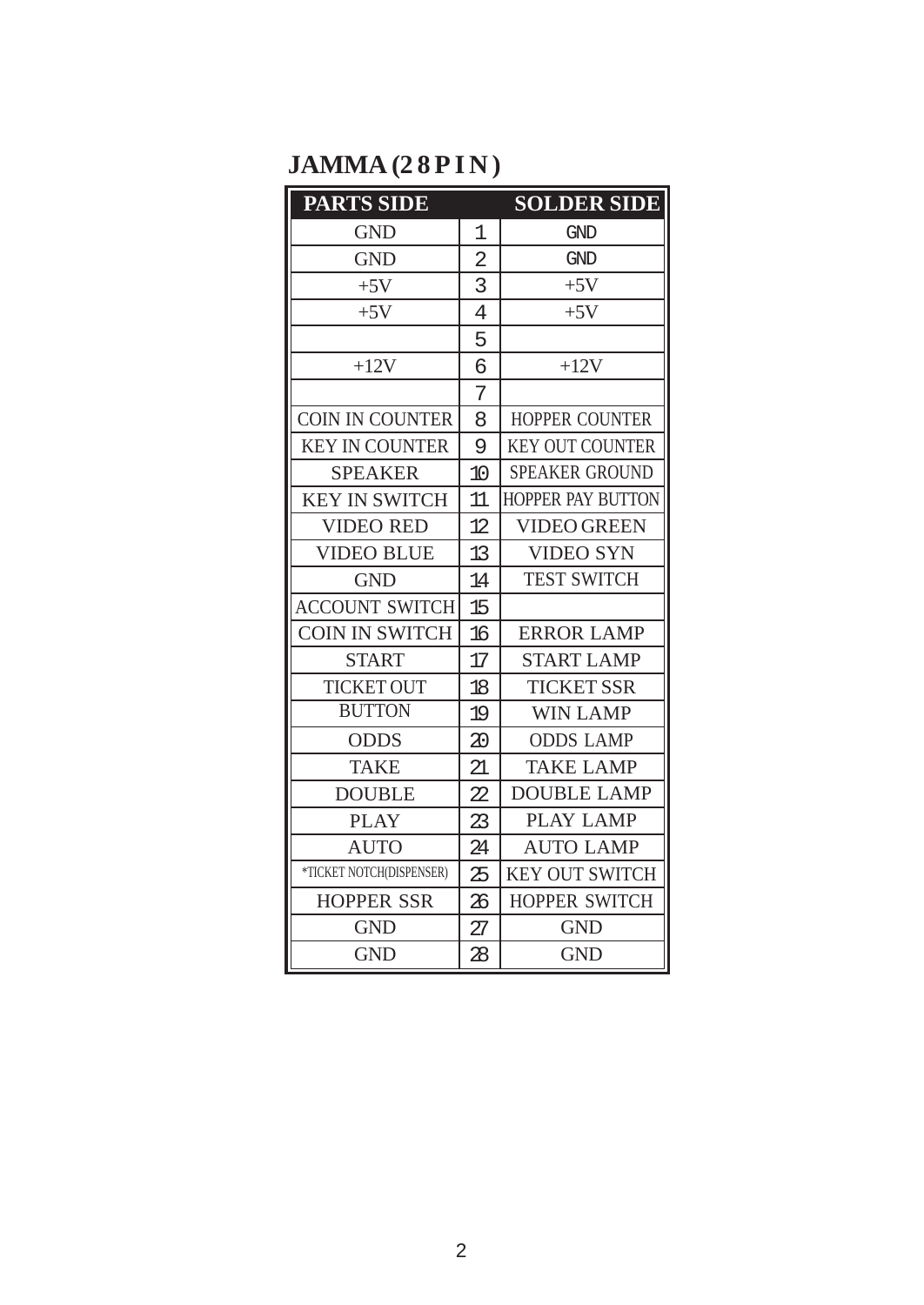# **JAMMA (28PIN)**

| <b>PARTS SIDE</b>        |                | <b>SOLDER SIDE</b>       |
|--------------------------|----------------|--------------------------|
| <b>GND</b>               | 1              | GND                      |
| <b>GND</b>               | $\overline{2}$ | GND                      |
| $+5V$                    | 3              | $+5V$                    |
| $+5V$                    | 4              | $+5V$                    |
|                          | 5              |                          |
| $+12V$                   | 6              | $+12V$                   |
|                          | 7              |                          |
| COIN IN COUNTER          | 8              | <b>HOPPER COUNTER</b>    |
| <b>KEY IN COUNTER</b>    | 9              | <b>KEY OUT COUNTER</b>   |
| <b>SPEAKER</b>           | 10             | <b>SPEAKER GROUND</b>    |
| <b>KEY IN SWITCH</b>     | 11             | <b>HOPPER PAY BUTTON</b> |
| <b>VIDEO RED</b>         | 12.            | VIDEO GREEN              |
| <b>VIDEO BLUE</b>        | 13             | <b>VIDEO SYN</b>         |
| <b>GND</b>               | 14             | <b>TEST SWITCH</b>       |
| <b>ACCOUNT SWITCH</b>    | 15             |                          |
| <b>COIN IN SWITCH</b>    | 16             | <b>ERROR LAMP</b>        |
| <b>START</b>             | 17             | <b>START LAMP</b>        |
| <b>TICKET OUT</b>        | 18             | <b>TICKET SSR</b>        |
| <b>BUTTON</b>            | 19             | <b>WIN LAMP</b>          |
| <b>ODDS</b>              | 20             | <b>ODDS LAMP</b>         |
| <b>TAKE</b>              | 21             | <b>TAKE LAMP</b>         |
| <b>DOUBLE</b>            | 22.            | <b>DOUBLE LAMP</b>       |
| PLAY                     | 23             | <b>PLAY LAMP</b>         |
| <b>AUTO</b>              | 24             | <b>AUTO LAMP</b>         |
| *TICKET NOTCH(DISPENSER) | 25             | KEY OUT SWITCH           |
| <b>HOPPER SSR</b>        | 26             | <b>HOPPER SWITCH</b>     |
| <b>GND</b>               | 27             | <b>GND</b>               |
| <b>GND</b>               | 28             | <b>GND</b>               |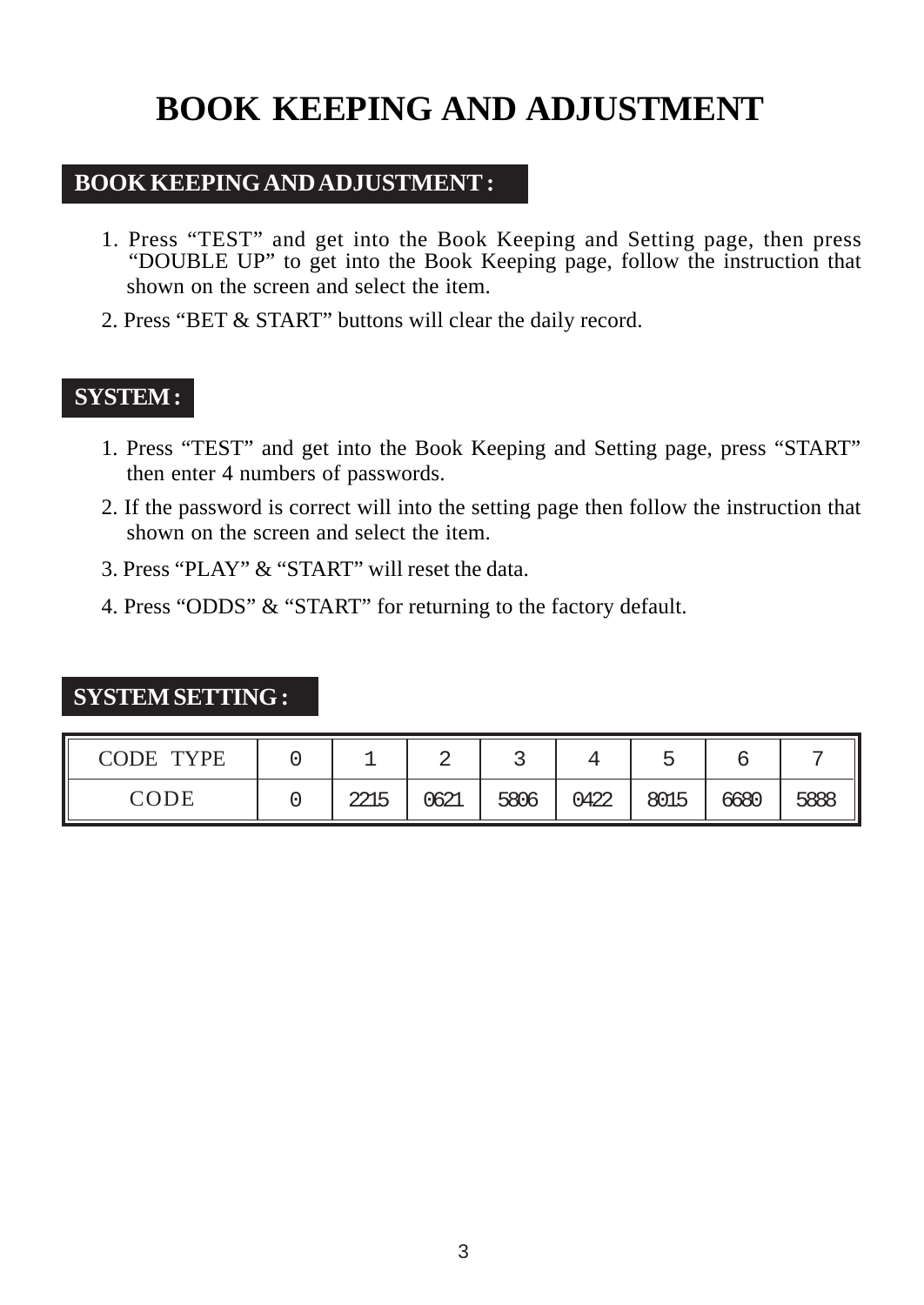# **BOOK KEEPING AND ADJUSTMENT**

#### **BOOK KEEPING AND ADJUSTMENT :**

- 1. Press "TEST" and get into the Book Keeping and Setting page, then press "DOUBLE UP" to get into the Book Keeping page, follow the instruction that shown on the screen and select the item.
- 2. Press "BET & START" buttons will clear the daily record.

#### **SYSTEM :**

- 1. Press "TEST" and get into the Book Keeping and Setting page, press "START" then enter 4 numbers of passwords.
- 2. If the password is correct will into the setting page then follow the instruction that shown on the screen and select the item.
- 3. Press "PLAY" & "START" will reset the data.
- 4. Press "ODDS" & "START" for returning to the factory default.

#### **SYSTEM SETTING :**

| <b>TYPE</b><br>CODE |              |      |      |      |      |      |      |
|---------------------|--------------|------|------|------|------|------|------|
| CODE                | つつ15<br>تتمك | 0621 | 5806 | 0422 | 8015 | 6680 | 5888 |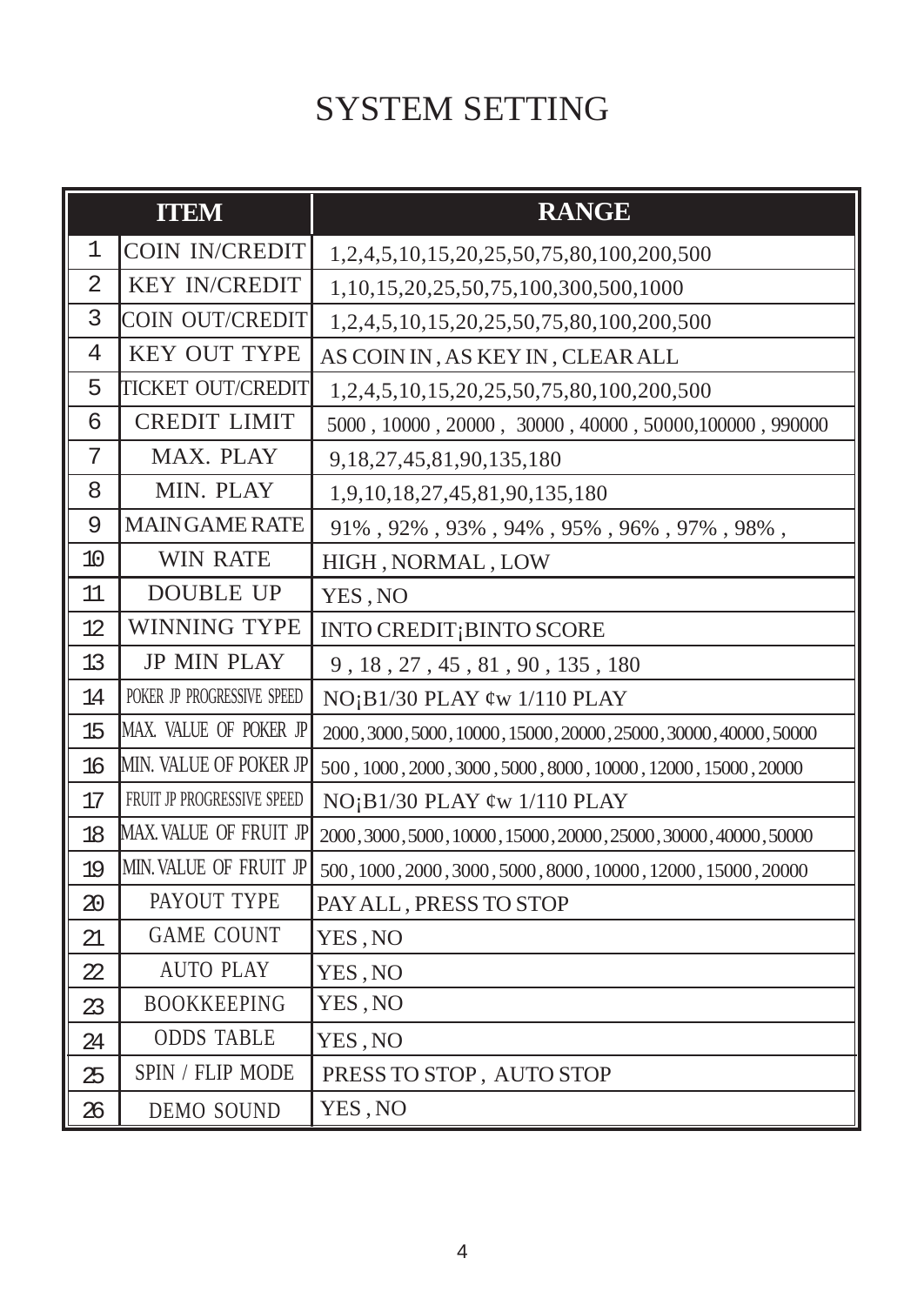# SYSTEM SETTING

|    | <b>ITEM</b>                | <b>RANGE</b>                                                            |
|----|----------------------------|-------------------------------------------------------------------------|
| 1  | <b>COIN IN/CREDIT</b>      | 1,2,4,5,10,15,20,25,50,75,80,100,200,500                                |
| 2  | <b>KEY IN/CREDIT</b>       | 1,10,15,20,25,50,75,100,300,500,1000                                    |
| 3  | <b>COIN OUT/CREDIT</b>     | 1,2,4,5,10,15,20,25,50,75,80,100,200,500                                |
| 4  | <b>KEY OUT TYPE</b>        | AS COIN IN, AS KEY IN, CLEAR ALL                                        |
| 5  | <b>TICKET OUT/CREDIT</b>   | 1,2,4,5,10,15,20,25,50,75,80,100,200,500                                |
| 6  | <b>CREDIT LIMIT</b>        | $5000, 10000, 20000, 30000, 40000, 50000, 100000, 990000$               |
| 7  | MAX. PLAY                  | 9, 18, 27, 45, 81, 90, 135, 180                                         |
| 8  | MIN. PLAY                  | 1,9,10,18,27,45,81,90,135,180                                           |
| 9  | <b>MAINGAME RATE</b>       | $91\%$ , $92\%$ , $93\%$ , $94\%$ , $95\%$ , $96\%$ , $97\%$ , $98\%$ , |
| 10 | <b>WIN RATE</b>            | HIGH, NORMAL, LOW                                                       |
| 11 | <b>DOUBLE UP</b>           | YES, NO                                                                 |
| 12 | <b>WINNING TYPE</b>        | INTO CREDIT; BINTO SCORE                                                |
| 13 | <b>JP MIN PLAY</b>         | 9, 18, 27, 45, 81, 90, 135, 180                                         |
| 14 | POKER JP PROGRESSIVE SPEED | $NO$ <sub>i</sub> $B1/30$ PLAY $\phi$ w 1/110 PLAY                      |
| 15 | MAX. VALUE OF POKER JP     | 2000, 3000, 5000, 10000, 15000, 20000, 25000, 30000, 40000, 50000       |
| 16 | MIN. VALUE OF POKER JP     | 500, 1000, 2000, 3000, 5000, 8000, 10000, 12000, 15000, 20000           |
| 17 | FRUIT JP PROGRESSIVE SPEED | $NO$ <sub>i</sub> $B1/30$ PLAY $\phi$ w 1/110 PLAY                      |
| 18 | MAX. VALUE OF FRUIT JP     | 2000, 3000, 5000, 10000, 15000, 20000, 25000, 30000, 40000, 50000       |
| 19 | MIN. VALUE OF FRUIT JP     | 500, 1000, 2000, 3000, 5000, 8000, 10000, 12000, 15000, 20000           |
| 20 | PAYOUT TYPE                | PAY ALL, PRESS TO STOP                                                  |
| 21 | <b>GAME COUNT</b>          | YES, NO                                                                 |
| 22 | <b>AUTO PLAY</b>           | YES, NO                                                                 |
| 23 | <b>BOOKKEEPING</b>         | YES, NO                                                                 |
| 24 | <b>ODDS TABLE</b>          | YES, NO                                                                 |
| 25 | SPIN / FLIP MODE           | PRESS TO STOP, AUTO STOP                                                |
| 26 | <b>DEMO SOUND</b>          | YES, NO                                                                 |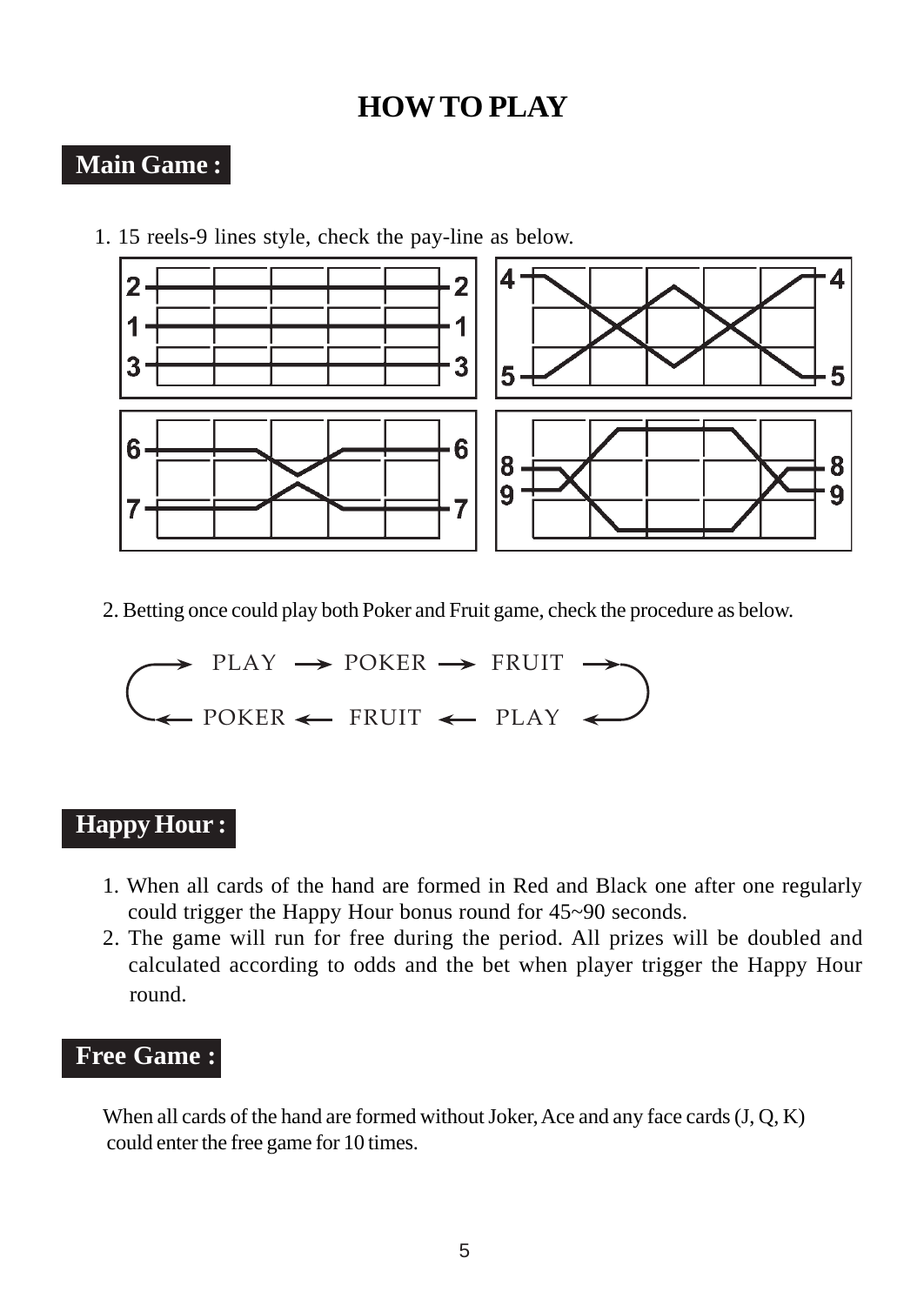# **HOW TO PLAY**

## **Main Game :**

1. 15 reels-9 lines style, check the pay-line as below.



2. Betting once could play both Poker and Fruit game, check the procedure as below.

$$
\bigodot \text{PLAY} \rightarrow \text{POKER} \rightarrow \text{FRUIT} \rightarrow
$$

### **Happy Hour :**

- 1. When all cards of the hand are formed in Red and Black one after one regularly could trigger the Happy Hour bonus round for 45~90 seconds.
- 2. The game will run for free during the period. All prizes will be doubled and calculated according to odds and the bet when player trigger the Happy Hour round.

## **Free Game :**

When all cards of the hand are formed without Joker, Ace and any face cards (J, Q, K) could enter the free game for 10 times.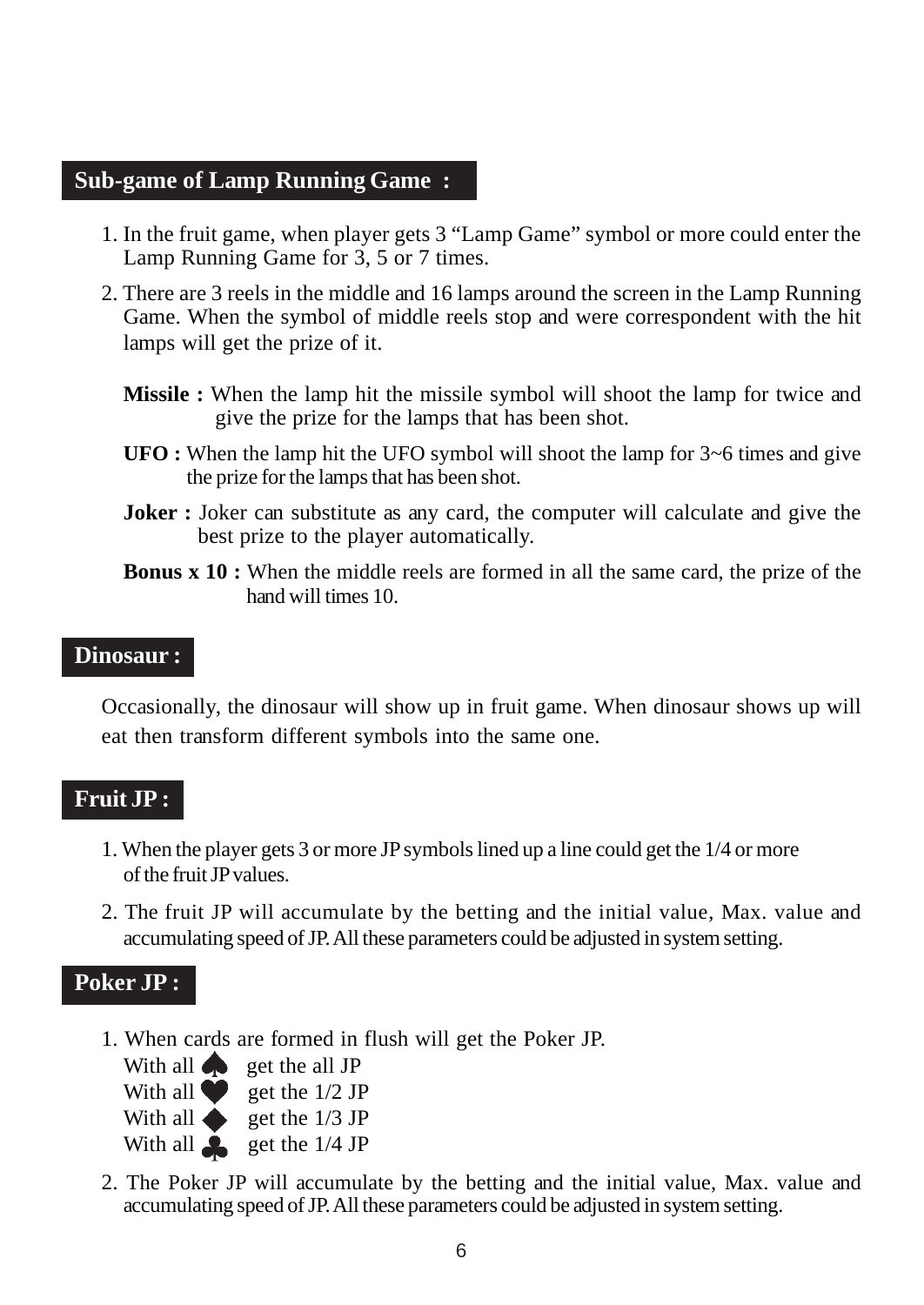#### **Sub-game of Lamp Running Game :**

- 1. In the fruit game, when player gets 3 "Lamp Game" symbol or more could enter the Lamp Running Game for 3, 5 or 7 times.
- 2. There are 3 reels in the middle and 16 lamps around the screen in the Lamp Running Game. When the symbol of middle reels stop and were correspondent with the hit lamps will get the prize of it.
	- **Missile :** When the lamp hit the missile symbol will shoot the lamp for twice and give the prize for the lamps that has been shot.
	- **UFO :** When the lamp hit the UFO symbol will shoot the lamp for 3~6 times and give the prize for the lamps that has been shot.
	- **Joker :** Joker can substitute as any card, the computer will calculate and give the best prize to the player automatically.
	- **Bonus x 10 :** When the middle reels are formed in all the same card, the prize of the hand will times 10.

#### **Dinosaur :**

Occasionally, the dinosaur will show up in fruit game. When dinosaur shows up will eat then transform different symbols into the same one.

#### **Fruit JP :**

- 1. When the player gets 3 or more JP symbols lined up a line could get the 1/4 or more of the fruit JP values.
- 2. The fruit JP will accumulate by the betting and the initial value, Max. value and accumulating speed of JP. All these parameters could be adjusted in system setting.

#### **Poker JP :**

1. When cards are formed in flush will get the Poker JP.

| With all $\bullet$ | get the all JP |
|--------------------|----------------|
| With all           | get the 1/2 JP |
| With all <a></a>   | get the 1/3 JP |
| With all <b>A</b>  | get the 1/4 JP |

2. The Poker JP will accumulate by the betting and the initial value, Max. value and accumulating speed of JP. All these parameters could be adjusted in system setting.